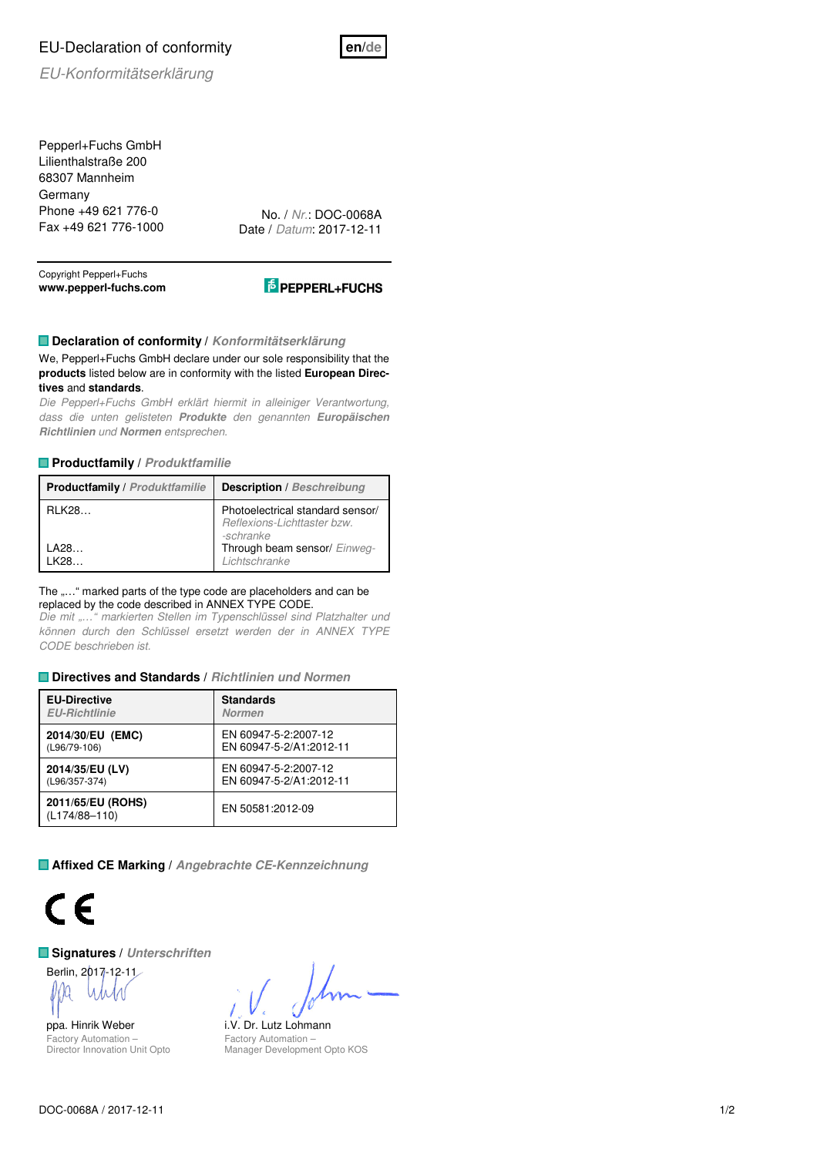# EU-Declaration of conformity



EU-Konformitätserklärung

Pepperl+Fuchs GmbH Lilienthalstraße 200 68307 Mannheim **Germany** Phone +49 621 776-0 Fax +49 621 776-1000

No. / Nr.: DOC-0068A Date / Datum: 2017-12-11

Copyright Pepperl+Fuchs **www.pepperl-fuchs.com** 



## **Declaration of conformity / Konformitätserklärung**

We, Pepperl+Fuchs GmbH declare under our sole responsibility that the **products** listed below are in conformity with the listed **European Directives** and **standards**.

Die Pepperl+Fuchs GmbH erklärt hiermit in alleiniger Verantwortung, dass die unten gelisteten **Produkte** den genannten **Europäischen Richtlinien** und **Normen** entsprechen.

### **Productfamily / Produktfamilie**

| <b>Productfamily / Produktfamilie</b> | <b>Description</b> / Beschreibung                                            |  |  |  |  |
|---------------------------------------|------------------------------------------------------------------------------|--|--|--|--|
| <b>RLK28</b>                          | Photoelectrical standard sensor/<br>Reflexions-Lichttaster bzw.<br>-schranke |  |  |  |  |
| LA28<br>I K28.                        | Through beam sensor/ Einweg-<br>Lichtschranke                                |  |  |  |  |

#### The "..." marked parts of the type code are placeholders and can be replaced by the code described in ANNEX TYPE CODE.

Die mit "..." markierten Stellen im Typenschlüssel sind Platzhalter und können durch den Schlüssel ersetzt werden der in ANNEX TYPE CODE beschrieben ist.

### **Directives and Standards / Richtlinien und Normen**

| <b>EU-Directive</b>                    | <b>Standards</b>        |
|----------------------------------------|-------------------------|
| <b>EU-Richtlinie</b>                   | <b>Normen</b>           |
| 2014/30/EU (EMC)                       | EN 60947-5-2:2007-12    |
| (L96/79-106)                           | EN 60947-5-2/A1:2012-11 |
| 2014/35/EU (LV)                        | EN 60947-5-2:2007-12    |
| (L96/357-374)                          | EN 60947-5-2/A1:2012-11 |
| 2011/65/EU (ROHS)<br>$(L174/88 - 110)$ | EN 50581:2012-09        |

**Affixed CE Marking / Angebrachte CE-Kennzeichnung**



## **Signatures / Unterschriften**

Berlin, 2017-12-11 M

ppa. Hinrik Weber i.V. Dr. Lutz Lohmann Factory Automation – Director Innovation Unit Opto

Factory Automation – Manager Development Opto KOS